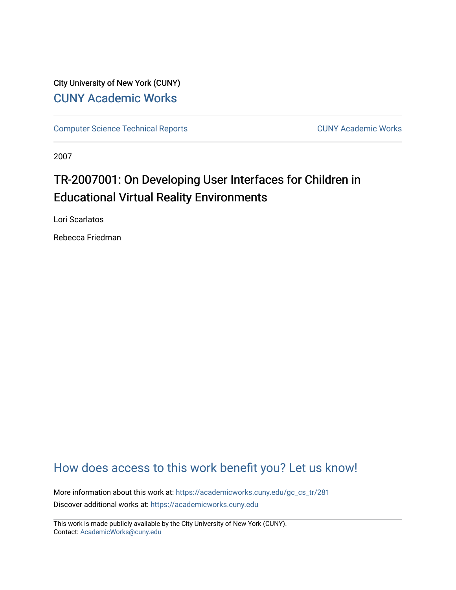## City University of New York (CUNY) [CUNY Academic Works](https://academicworks.cuny.edu/)

[Computer Science Technical Reports](https://academicworks.cuny.edu/gc_cs_tr) **CUNY Academic Works** CUNY Academic Works

2007

# TR-2007001: On Developing User Interfaces for Children in Educational Virtual Reality Environments

Lori Scarlatos

Rebecca Friedman

# [How does access to this work benefit you? Let us know!](http://ols.cuny.edu/academicworks/?ref=https://academicworks.cuny.edu/gc_cs_tr/281)

More information about this work at: [https://academicworks.cuny.edu/gc\\_cs\\_tr/281](https://academicworks.cuny.edu/gc_cs_tr/281)  Discover additional works at: [https://academicworks.cuny.edu](https://academicworks.cuny.edu/?)

This work is made publicly available by the City University of New York (CUNY). Contact: [AcademicWorks@cuny.edu](mailto:AcademicWorks@cuny.edu)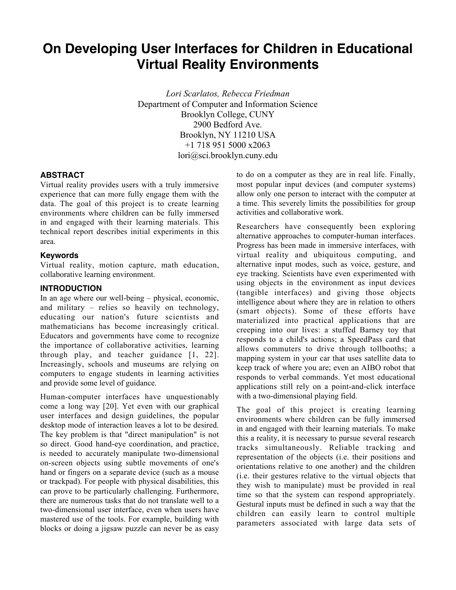# **On Developing User Interfaces for Children in Educational Virtual Reality Environments**

*Lori Scarlatos, Rebecca Friedman* Department of Computer and Information Science Brooklyn College, CUNY 2900 Bedford Ave. Brooklyn, NY 11210 USA +1 718 951 5000 x2063 lori@sci.brooklyn.cuny.edu

### **ABSTRACT**

Virtual reality provides users with a truly immersive experience that can more fully engage them with the data. The goal of this project is to create learning environments where children can be fully immersed in and engaged with their learning materials. This technical report describes initial experiments in this area.

#### **Keywords**

Virtual reality, motion capture, math education, collaborative learning environment.

#### **INTRODUCTION**

In an age where our well-being – physical, economic, and military – relies so heavily on technology, educating our nation's future scientists and mathematicians has become increasingly critical. Educators and governments have come to recognize the importance of collaborative activities, learning through play, and teacher guidance [1, 22]. Increasingly, schools and museums are relying on computers to engage students in learning activities and provide some level of guidance.

Human-computer interfaces have unquestionably come a long way [20]. Yet even with our graphical user interfaces and design guidelines, the popular desktop mode of interaction leaves a lot to be desired. The key problem is that "direct manipulation" is not so direct. Good hand-eye coordination, and practice, is needed to accurately manipulate two-dimensional on-screen objects using subtle movements of one's hand or fingers on a separate device (such as a mouse or trackpad). For people with physical disabilities, this can prove to be particularly challenging. Furthermore, there are numerous tasks that do not translate well to a two-dimensional user interface, even when users have mastered use of the tools. For example, building with blocks or doing a jigsaw puzzle can never be as easy

to do on a computer as they are in real life. Finally, most popular input devices (and computer systems) allow only one person to interact with the computer at a time. This severely limits the possibilities for group activities and collaborative work.

Researchers have consequently been exploring alternative approaches to computer-human interfaces. Progress has been made in immersive interfaces, with virtual reality and ubiquitous computing, and alternative input modes, such as voice, gesture, and eye tracking. Scientists have even experimented with using objects in the environment as input devices (tangible interfaces) and giving those objects intelligence about where they are in relation to others (smart objects). Some of these efforts have materialized into practical applications that are creeping into our lives: a stuffed Barney toy that responds to a child's actions; a SpeedPass card that allows commuters to drive through tollbooths; a mapping system in your car that uses satellite data to keep track of where you are; even an AIBO robot that responds to verbal commands. Yet most educational applications still rely on a point-and-click interface with a two-dimensional playing field.

The goal of this project is creating learning environments where children can be fully immersed in and engaged with their learning materials. To make this a reality, it is necessary to pursue several research tracks simultaneously. Reliable tracking and representation of the objects (i.e. their positions and orientations relative to one another) and the children (i.e. their gestures relative to the virtual objects that they wish to manipulate) must be provided in real time so that the system can respond appropriately. Gestural inputs must be defined in such a way that the children can easily learn to control multiple parameters associated with large data sets of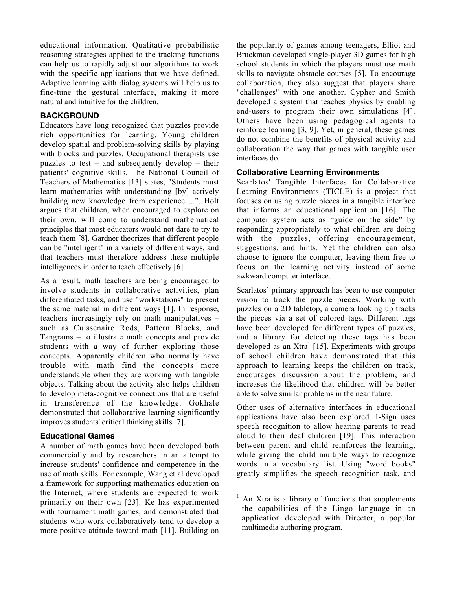educational information. Qualitative probabilistic reasoning strategies applied to the tracking functions can help us to rapidly adjust our algorithms to work with the specific applications that we have defined. Adaptive learning with dialog systems will help us to fine-tune the gestural interface, making it more natural and intuitive for the children.

### **BACKGROUND**

Educators have long recognized that puzzles provide rich opportunities for learning. Young children develop spatial and problem-solving skills by playing with blocks and puzzles. Occupational therapists use puzzles to test – and subsequently develop – their patients' cognitive skills. The National Council of Teachers of Mathematics [13] states, "Students must learn mathematics with understanding [by] actively building new knowledge from experience ...". Holt argues that children, when encouraged to explore on their own, will come to understand mathematical principles that most educators would not dare to try to teach them [8]. Gardner theorizes that different people can be "intelligent" in a variety of different ways, and that teachers must therefore address these multiple intelligences in order to teach effectively [6].

As a result, math teachers are being encouraged to involve students in collaborative activities, plan differentiated tasks, and use "workstations" to present the same material in different ways [1]. In response, teachers increasingly rely on math manipulatives – such as Cuissenaire Rods, Pattern Blocks, and Tangrams – to illustrate math concepts and provide students with a way of further exploring those concepts. Apparently children who normally have trouble with math find the concepts more understandable when they are working with tangible objects. Talking about the activity also helps children to develop meta-cognitive connections that are useful in transference of the knowledge. Gokhale demonstrated that collaborative learning significantly improves students' critical thinking skills [7].

### **Educational Games**

A number of math games have been developed both commercially and by researchers in an attempt to increase students' confidence and competence in the use of math skills. For example, Wang et al developed a framework for supporting mathematics education on the Internet, where students are expected to work primarily on their own [23]. Ke has experimented with tournament math games, and demonstrated that students who work collaboratively tend to develop a more positive attitude toward math [11]. Building on

the popularity of games among teenagers, Elliot and Bruckman developed single-player 3D games for high school students in which the players must use math skills to navigate obstacle courses [5]. To encourage collaboration, they also suggest that players share "challenges" with one another. Cypher and Smith developed a system that teaches physics by enabling end-users to program their own simulations [4]. Others have been using pedagogical agents to reinforce learning [3, 9]. Yet, in general, these games do not combine the benefits of physical activity and collaboration the way that games with tangible user interfaces do.

### **Collaborative Learning Environments**

Scarlatos' Tangible Interfaces for Collaborative Learning Environments (TICLE) is a project that focuses on using puzzle pieces in a tangible interface that informs an educational application [16]. The computer system acts as "guide on the side" by responding appropriately to what children are doing with the puzzles, offering encouragement, suggestions, and hints. Yet the children can also choose to ignore the computer, leaving them free to focus on the learning activity instead of some awkward computer interface.

Scarlatos' primary approach has been to use computer vision to track the puzzle pieces. Working with puzzles on a 2D tabletop, a camera looking up tracks the pieces via a set of colored tags. Different tags have been developed for different types of puzzles, and a library for detecting these tags has been developed as an Xtra<sup>1</sup> [15]. Experiments with groups of school children have demonstrated that this approach to learning keeps the children on track, encourages discussion about the problem, and increases the likelihood that children will be better able to solve similar problems in the near future.

Other uses of alternative interfaces in educational applications have also been explored. I-Sign uses speech recognition to allow hearing parents to read aloud to their deaf children [19]. This interaction between parent and child reinforces the learning, while giving the child multiple ways to recognize words in a vocabulary list. Using "word books" greatly simplifies the speech recognition task, and

l

<sup>1</sup> An Xtra is a library of functions that supplements the capabilities of the Lingo language in an application developed with Director, a popular multimedia authoring program.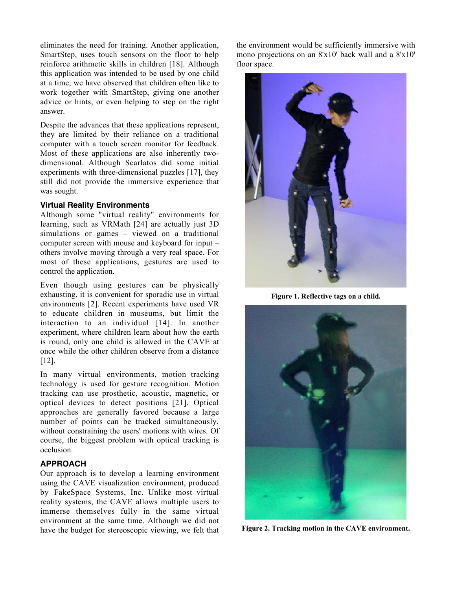eliminates the need for training. Another application, SmartStep, uses touch sensors on the floor to help reinforce arithmetic skills in children [18]. Although this application was intended to be used by one child at a time, we have observed that children often like to work together with SmartStep, giving one another advice or hints, or even helping to step on the right answer.

Despite the advances that these applications represent, they are limited by their reliance on a traditional computer with a touch screen monitor for feedback. Most of these applications are also inherently twodimensional. Although Scarlatos did some initial experiments with three-dimensional puzzles [17], they still did not provide the immersive experience that was sought.

#### **Virtual Reality Environments**

Although some "virtual reality" environments for learning, such as VRMath [24] are actually just 3D simulations or games – viewed on a traditional computer screen with mouse and keyboard for input – others involve moving through a very real space. For most of these applications, gestures are used to control the application.

Even though using gestures can be physically exhausting, it is convenient for sporadic use in virtual environments [2]. Recent experiments have used VR to educate children in museums, but limit the interaction to an individual [14]. In another experiment, where children learn about how the earth is round, only one child is allowed in the CAVE at once while the other children observe from a distance [12].

In many virtual environments, motion tracking technology is used for gesture recognition. Motion tracking can use prosthetic, acoustic, magnetic, or optical devices to detect positions [21]. Optical approaches are generally favored because a large number of points can be tracked simultaneously, without constraining the users' motions with wires. Of course, the biggest problem with optical tracking is occlusion.

#### **APPROACH**

Our approach is to develop a learning environment using the CAVE visualization environment, produced by FakeSpace Systems, Inc. Unlike most virtual reality systems, the CAVE allows multiple users to immerse themselves fully in the same virtual environment at the same time. Although we did not have the budget for stereoscopic viewing, we felt that the environment would be sufficiently immersive with mono projections on an 8'x10' back wall and a 8'x10' floor space.



Figure 1. Reflective tags on a child.



Figure 2. Tracking motion in the CAVE environment.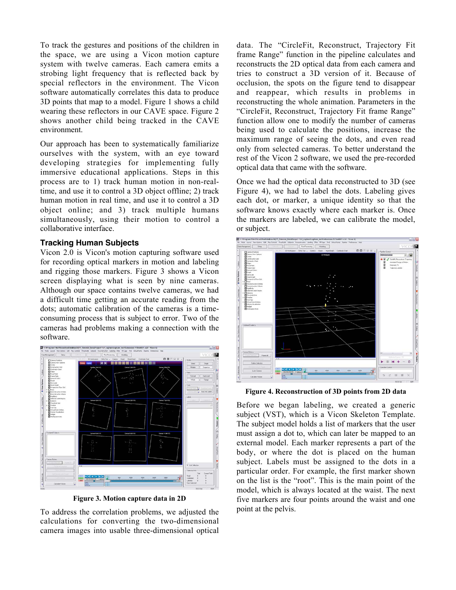To track the gestures and positions of the children in the space, we are using a Vicon motion capture system with twelve cameras. Each camera emits a strobing light frequency that is reflected back by special reflectors in the environment. The Vicon software automatically correlates this data to produce 3D points that map to a model. Figure 1 shows a child wearing these reflectors in our CAVE space. Figure 2 shows another child being tracked in the CAVE environment.

Our approach has been to systematically familiarize ourselves with the system, with an eye toward developing strategies for implementing fully immersive educational applications. Steps in this process are to 1) track human motion in non-realtime, and use it to control a 3D object offline; 2) track human motion in real time, and use it to control a 3D object online; and 3) track multiple humans simultaneously, using their motion to control a collaborative interface.

#### **Tracking Human Subjects**

Vicon 2.0 is Vicon's motion capturing software used for recording optical markers in motion and labeling and rigging those markers. Figure 3 shows a Vicon screen displaying what is seen by nine cameras. Although our space contains twelve cameras, we had a difficult time getting an accurate reading from the dots; automatic calibration of the cameras is a timeconsuming process that is subject to error. Two of the cameras had problems making a connection with the software.



Figure 3. Motion capture data in 2D

To address the correlation problems, we adjusted the calculations for converting the two-dimensional camera images into usable three-dimensional optical data. The "CircleFit, Reconstruct, Trajectory Fit frame Range" function in the pipeline calculates and reconstructs the 2D optical data from each camera and tries to construct a 3D version of it. Because of occlusion, the spots on the figure tend to disappear and reappear, which results in problems in reconstructing the whole animation. Parameters in the "CircleFit, Reconstruct, Trajectory Fit frame Range" function allow one to modify the number of cameras being used to calculate the positions, increase the maximum range of seeing the dots, and even read only from selected cameras. To better understand the rest of the Vicon 2 software, we used the pre-recorded optical data that came with the software.

Once we had the optical data reconstructed to 3D (see Figure 4), we had to label the dots. Labeling gives each dot, or marker, a unique identity so that the software knows exactly where each marker is. Once the markers are labeled, we can calibrate the model, or subject.



Figure 4. Reconstruction of 3D points from 2D data

Before we began labeling, we created a generic subject (VST), which is a Vicon Skeleton Template. The subject model holds a list of markers that the user must assign a dot to, which can later be mapped to an external model. Each marker represents a part of the body, or where the dot is placed on the human subject. Labels must be assigned to the dots in a particular order. For example, the first marker shown on the list is the "root". This is the main point of the model, which is always located at the waist. The next five markers are four points around the waist and one point at the pelvis.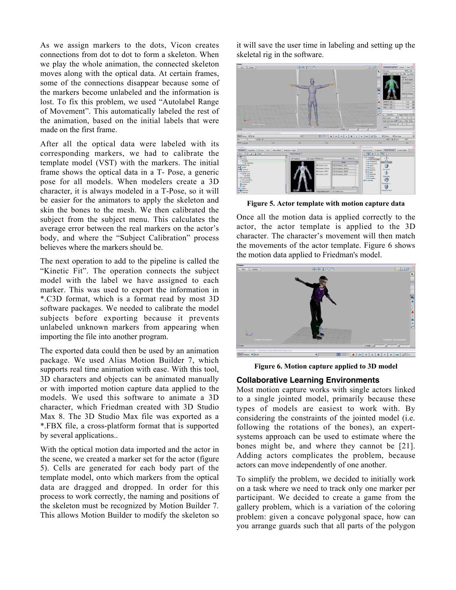As we assign markers to the dots, Vicon creates connections from dot to dot to form a skeleton. When we play the whole animation, the connected skeleton moves along with the optical data. At certain frames, some of the connections disappear because some of the markers become unlabeled and the information is lost. To fix this problem, we used "Autolabel Range of Movement". This automatically labeled the rest of the animation, based on the initial labels that were made on the first frame.

After all the optical data were labeled with its corresponding markers, we had to calibrate the template model (VST) with the markers. The initial frame shows the optical data in a T- Pose, a generic pose for all models. When modelers create a 3D character, it is always modeled in a T-Pose, so it will be easier for the animators to apply the skeleton and skin the bones to the mesh. We then calibrated the subject from the subject menu. This calculates the average error between the real markers on the actor's body, and where the "Subject Calibration" process believes where the markers should be.

The next operation to add to the pipeline is called the "Kinetic Fit". The operation connects the subject model with the label we have assigned to each marker. This was used to export the information in \*.C3D format, which is a format read by most 3D software packages. We needed to calibrate the model subjects before exporting because it prevents unlabeled unknown markers from appearing when importing the file into another program.

The exported data could then be used by an animation package. We used Alias Motion Builder 7, which supports real time animation with ease. With this tool, 3D characters and objects can be animated manually or with imported motion capture data applied to the models. We used this software to animate a 3D character, which Friedman created with 3D Studio Max 8. The 3D Studio Max file was exported as a \*.FBX file, a cross-platform format that is supported by several applications..

With the optical motion data imported and the actor in the scene, we created a marker set for the actor (figure 5). Cells are generated for each body part of the template model, onto which markers from the optical data are dragged and dropped. In order for this process to work correctly, the naming and positions of the skeleton must be recognized by Motion Builder 7. This allows Motion Builder to modify the skeleton so

it will save the user time in labeling and setting up the skeletal rig in the software.



Figure 5. Actor template with motion capture data

Once all the motion data is applied correctly to the actor, the actor template is applied to the 3D character. The character's movement will then match the movements of the actor template. Figure 6 shows the motion data applied to Friedman's model.



Figure 6. Motion capture applied to 3D model

#### **Collaborative Learning Environments**

Most motion capture works with single actors linked to a single jointed model, primarily because these types of models are easiest to work with. By considering the constraints of the jointed model (i.e. following the rotations of the bones), an expertsystems approach can be used to estimate where the bones might be, and where they cannot be [21]. Adding actors complicates the problem, because actors can move independently of one another.

To simplify the problem, we decided to initially work on a task where we need to track only one marker per participant. We decided to create a game from the gallery problem, which is a variation of the coloring problem: given a concave polygonal space, how can you arrange guards such that all parts of the polygon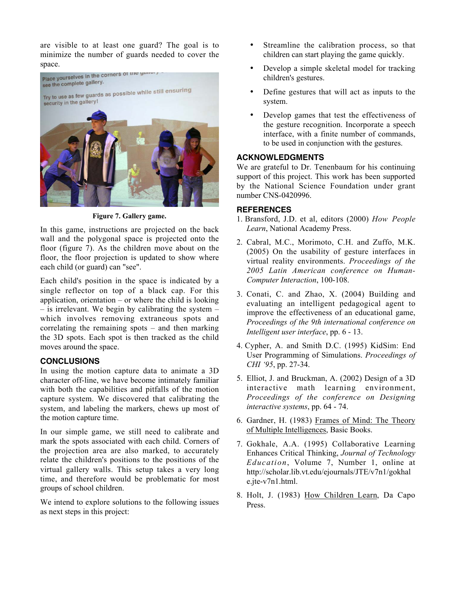are visible to at least one guard? The goal is to minimize the number of guards needed to cover the



Figure 7. Gallery game.

In this game, instructions are projected on the back wall and the polygonal space is projected onto the floor (figure 7). As the children move about on the floor, the floor projection is updated to show where each child (or guard) can "see".

Each child's position in the space is indicated by a single reflector on top of a black cap. For this application, orientation – or where the child is looking – is irrelevant. We begin by calibrating the system – which involves removing extraneous spots and correlating the remaining spots – and then marking the 3D spots. Each spot is then tracked as the child moves around the space.

#### **CONCLUSIONS**

In using the motion capture data to animate a 3D character off-line, we have become intimately familiar with both the capabilities and pitfalls of the motion capture system. We discovered that calibrating the system, and labeling the markers, chews up most of the motion capture time.

In our simple game, we still need to calibrate and mark the spots associated with each child. Corners of the projection area are also marked, to accurately relate the children's positions to the positions of the virtual gallery walls. This setup takes a very long time, and therefore would be problematic for most groups of school children.

We intend to explore solutions to the following issues as next steps in this project:

- Streamline the calibration process, so that children can start playing the game quickly.
- Develop a simple skeletal model for tracking children's gestures.
- Define gestures that will act as inputs to the system.
- Develop games that test the effectiveness of the gesture recognition. Incorporate a speech interface, with a finite number of commands, to be used in conjunction with the gestures.

### **ACKNOWLEDGMENTS**

We are grateful to Dr. Tenenbaum for his continuing support of this project. This work has been supported by the National Science Foundation under grant number CNS-0420996.

### **REFERENCES**

- 1. Bransford, J.D. et al, editors (2000) *How People Learn*, National Academy Press.
- 2. Cabral, M.C., Morimoto, C.H. and Zuffo, M.K. (2005) On the usability of gesture interfaces in virtual reality environments. *Proceedings of the 2005 Latin American conference on Human-Computer Interaction*, 100-108.
- 3. Conati, C. and Zhao, X. (2004) Building and evaluating an intelligent pedagogical agent to improve the effectiveness of an educational game, *Proceedings of the 9th international conference on Intelligent user interface*, pp. 6 - 13.
- 4. Cypher, A. and Smith D.C. (1995) KidSim: End User Programming of Simulations. *Proceedings of CHI '95*, pp. 27-34.
- 5. Elliot, J. and Bruckman, A. (2002) Design of a 3D interactive math learning environment, *Proceedings of the conference on Designing interactive systems*, pp. 64 - 74.
- 6. Gardner, H. (1983) Frames of Mind: The Theory of Multiple Intelligences, Basic Books.
- 7. Gokhale, A.A. (1995) Collaborative Learning Enhances Critical Thinking, *Journal of Technology Education*, Volume 7, Number 1, online at http://scholar.lib.vt.edu/ejournals/JTE/v7n1/gokhal e.jte-v7n1.html.
- 8. Holt, J. (1983) How Children Learn, Da Capo Press.